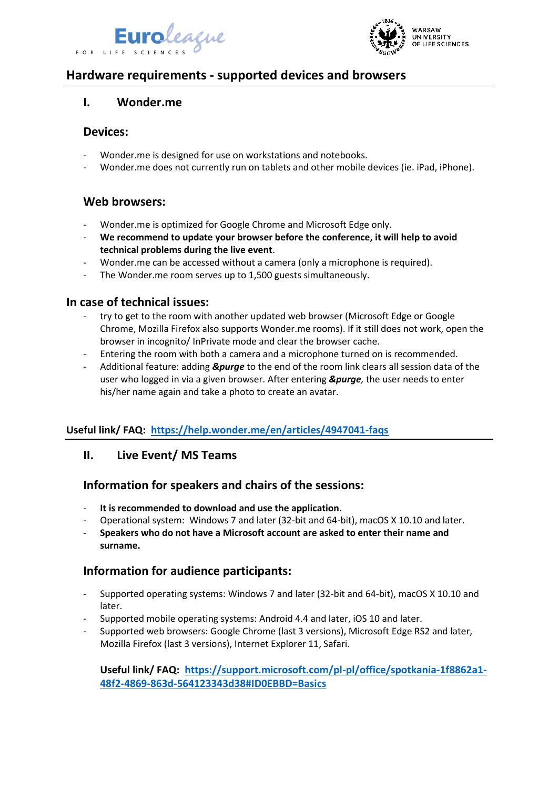



# **Hardware requirements - supported devices and browsers**

### **I. Wonder.me**

#### **Devices:**

- Wonder.me is designed for use on workstations and notebooks.
- Wonder.me does not currently run on tablets and other mobile devices (ie. iPad, iPhone).

### **Web browsers:**

- Wonder.me is optimized for Google Chrome and Microsoft Edge only.
- **We recommend to update your browser before the conference, it will help to avoid technical problems during the live event**.
- Wonder.me can be accessed without a camera (only a microphone is required).
- The Wonder.me room serves up to 1,500 guests simultaneously.

### **In case of technical issues:**

- try to get to the room with another updated web browser (Microsoft Edge or Google Chrome, Mozilla Firefox also supports Wonder.me rooms). If it still does not work, open the browser in incognito/ InPrivate mode and clear the browser cache.
- Entering the room with both a camera and a microphone turned on is recommended.
- Additional feature: adding *&purge* to the end of the room link clears all session data of the user who logged in via a given browser. After entering *&purge,* the user needs to enter his/her name again and take a photo to create an avatar.

### **Useful link/ FAQ: <https://help.wonder.me/en/articles/4947041-faqs>**

#### **II. Live Event/ MS Teams**

### **Information for speakers and chairs of the sessions:**

- **It is recommended to download and use the application.**
- Operational system: Windows 7 and later (32-bit and 64-bit), macOS X 10.10 and later.
- **Speakers who do not have a Microsoft account are asked to enter their name and surname.**

### **Information for audience participants:**

- Supported operating systems: Windows 7 and later (32-bit and 64-bit), macOS X 10.10 and later.
- Supported mobile operating systems: Android 4.4 and later, iOS 10 and later.
- Supported web browsers: Google Chrome (last 3 versions), Microsoft Edge RS2 and later, Mozilla Firefox (last 3 versions), Internet Explorer 11, Safari.

#### **Useful link/ FAQ: [https://support.microsoft.com/pl-pl/office/spotkania-1f8862a1-](https://support.microsoft.com/pl-pl/office/spotkania-1f8862a1-48f2-4869-863d-564123343d38#ID0EBBD=Basics) [48f2-4869-863d-564123343d38#ID0EBBD=Basics](https://support.microsoft.com/pl-pl/office/spotkania-1f8862a1-48f2-4869-863d-564123343d38#ID0EBBD=Basics)**